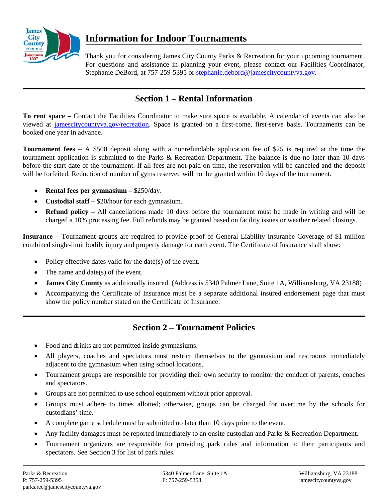

# **Information for Indoor Tournaments**

Thank you for considering James City County Parks & Recreation for your upcoming tournament. For questions and assistance in planning your event, please contact our Facilities Coordinator, Stephanie DeBord, at 757-259-5395 or [stephanie.debord@jamescitycountyva.gov.](mailto:stephanie.debord@jamescitycountyva.gov)

### **Section 1 – Rental Information**

**To rent space –** Contact the Facilities Coordinator to make sure space is available. A calendar of events can also be viewed at [jamescitycountyva.gov/recreation.](http://www.jamescitycountyva.gov/recreation) Space is granted on a first-come, first-serve basis. Tournaments can be booked one year in advance.

**Tournament fees –** A \$500 deposit along with a nonrefundable application fee of \$25 is required at the time the tournament application is submitted to the Parks & Recreation Department. The balance is due no later than 10 days before the start date of the tournament. If all fees are not paid on time, the reservation will be canceled and the deposit will be forfeited. Reduction of number of gyms reserved will not be granted within 10 days of the tournament.

- **Rental fees per gymnasium –** \$250/day.
- **Custodial staff –** \$20/hour for each gymnasium.
- **Refund policy –** All cancellations made 10 days before the tournament must be made in writing and will be charged a 10% processing fee. Full refunds may be granted based on facility issues or weather related closings.

**Insurance –** Tournament groups are required to provide proof of General Liability Insurance Coverage of \$1 million combined single-limit bodily injury and property damage for each event. The Certificate of Insurance shall show:

- Policy effective dates valid for the date(s) of the event.
- The name and date( $s$ ) of the event.
- **James City County** as additionally insured. (Address is 5340 Palmer Lane, Suite 1A, Williamsburg, VA 23188)
- Accompanying the Certificate of Insurance must be a separate additional insured endorsement page that must show the policy number stated on the Certificate of Insurance.

### **Section 2 – Tournament Policies**

- Food and drinks are not permitted inside gymnasiums.
- All players, coaches and spectators must restrict themselves to the gymnasium and restrooms immediately adjacent to the gymnasium when using school locations.
- Tournament groups are responsible for providing their own security to monitor the conduct of parents, coaches and spectators.
- Groups are not permitted to use school equipment without prior approval.
- Groups must adhere to times allotted; otherwise, groups can be charged for overtime by the schools for custodians' time.
- A complete game schedule must be submitted no later than 10 days prior to the event.
- Any facility damages must be reported immediately to an onsite custodian and Parks & Recreation Department.
- Tournament organizers are responsible for providing park rules and information to their participants and spectators. See Section 3 for list of park rules.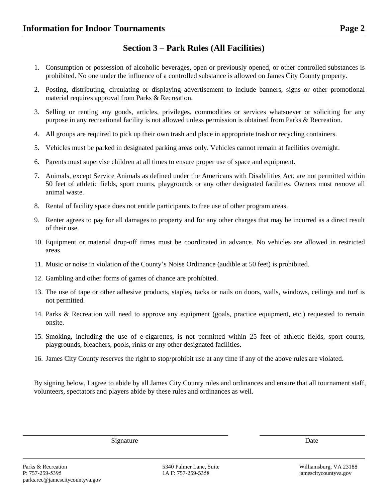#### **Section 3 – Park Rules (All Facilities)**

- 1. Consumption or possession of alcoholic beverages, open or previously opened, or other controlled substances is prohibited. No one under the influence of a controlled substance is allowed on James City County property.
- 2. Posting, distributing, circulating or displaying advertisement to include banners, signs or other promotional material requires approval from Parks & Recreation.
- 3. Selling or renting any goods, articles, privileges, commodities or services whatsoever or soliciting for any purpose in any recreational facility is not allowed unless permission is obtained from Parks & Recreation.
- 4. All groups are required to pick up their own trash and place in appropriate trash or recycling containers.
- 5. Vehicles must be parked in designated parking areas only. Vehicles cannot remain at facilities overnight.
- 6. Parents must supervise children at all times to ensure proper use of space and equipment.
- 7. Animals, except Service Animals as defined under the Americans with Disabilities Act, are not permitted within 50 feet of athletic fields, sport courts, playgrounds or any other designated facilities. Owners must remove all animal waste.
- 8. Rental of facility space does not entitle participants to free use of other program areas.
- 9. Renter agrees to pay for all damages to property and for any other charges that may be incurred as a direct result of their use.
- 10. Equipment or material drop-off times must be coordinated in advance. No vehicles are allowed in restricted areas.
- 11. Music or noise in violation of the County's Noise Ordinance (audible at 50 feet) is prohibited.
- 12. Gambling and other forms of games of chance are prohibited.
- 13. The use of tape or other adhesive products, staples, tacks or nails on doors, walls, windows, ceilings and turf is not permitted.
- 14. Parks & Recreation will need to approve any equipment (goals, practice equipment, etc.) requested to remain onsite.
- 15. Smoking, including the use of e-cigarettes, is not permitted within 25 feet of athletic fields, sport courts, playgrounds, bleachers, pools, rinks or any other designated facilities.
- 16. James City County reserves the right to stop/prohibit use at any time if any of the above rules are violated.

By signing below, I agree to abide by all James City County rules and ordinances and ensure that all tournament staff, volunteers, spectators and players abide by these rules and ordinances as well.

Signature Date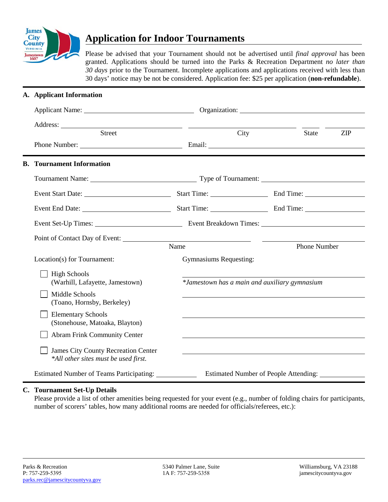

# **Application for Indoor Tournaments**

Please be advised that your Tournament should not be advertised until *final approval* has been granted. Applications should be turned into the Parks & Recreation Department *no later than 30 days* prior to the Tournament. Incomplete applications and applications received with less than 30 days' notice may be not be considered. Application fee: \$25 per application (**non-refundable**).

|  | A. Applicant Information                                                           |                                                                                                                      |                                              |              |            |  |  |
|--|------------------------------------------------------------------------------------|----------------------------------------------------------------------------------------------------------------------|----------------------------------------------|--------------|------------|--|--|
|  |                                                                                    |                                                                                                                      | Organization:                                |              |            |  |  |
|  |                                                                                    |                                                                                                                      |                                              |              |            |  |  |
|  | <b>Street</b>                                                                      |                                                                                                                      | City                                         | <b>State</b> | <b>ZIP</b> |  |  |
|  | <b>B.</b> Tournament Information                                                   |                                                                                                                      |                                              |              |            |  |  |
|  |                                                                                    | Tournament Name: 1988 Manner Communication and Type of Tournament: 1988 Manner Communication and Type of Tournament: |                                              |              |            |  |  |
|  |                                                                                    |                                                                                                                      |                                              |              |            |  |  |
|  |                                                                                    |                                                                                                                      |                                              |              |            |  |  |
|  |                                                                                    | Event Set-Up Times: Event Breakdown Times:                                                                           |                                              |              |            |  |  |
|  |                                                                                    |                                                                                                                      |                                              |              |            |  |  |
|  |                                                                                    | Name                                                                                                                 |                                              | Phone Number |            |  |  |
|  | Location(s) for Tournament:                                                        | <b>Gymnasiums Requesting:</b>                                                                                        |                                              |              |            |  |  |
|  | <b>High Schools</b><br>(Warhill, Lafayette, Jamestown)                             | *Jamestown has a main and auxiliary gymnasium                                                                        |                                              |              |            |  |  |
|  | Middle Schools<br>(Toano, Hornsby, Berkeley)                                       |                                                                                                                      |                                              |              |            |  |  |
|  | <b>Elementary Schools</b><br>(Stonehouse, Matoaka, Blayton)                        |                                                                                                                      |                                              |              |            |  |  |
|  | <b>Abram Frink Community Center</b>                                                |                                                                                                                      |                                              |              |            |  |  |
|  | <b>James City County Recreation Center</b><br>*All other sites must be used first. |                                                                                                                      |                                              |              |            |  |  |
|  | Estimated Number of Teams Participating:                                           |                                                                                                                      | <b>Estimated Number of People Attending:</b> |              |            |  |  |

#### **C. Tournament Set-Up Details**

Please provide a list of other amenities being requested for your event (e.g., number of folding chairs for participants, number of scorers' tables, how many additional rooms are needed for officials/referees, etc.):